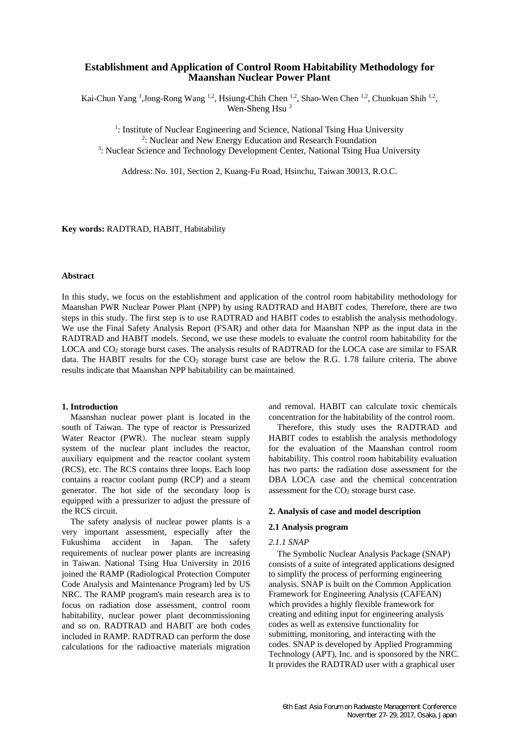# **Establishment and Application of Control Room Habitability Methodology for Maanshan Nuclear Power Plant**

Kai-Chun Yang <sup>1</sup>, Jong-Rong Wang <sup>1,2</sup>, Hsiung-Chih Chen <sup>1,2</sup>, Shao-Wen Chen <sup>1,2</sup>, Chunkuan Shih <sup>1,2</sup>, Wen-Sheng Hsu<sup>3</sup>

<sup>1</sup>: Institute of Nuclear Engineering and Science, National Tsing Hua University <sup>2</sup>: Nuclear and New Energy Education and Research Foundation <sup>3</sup>: Nuclear Science and Technology Development Center, National Tsing Hua University

Address: No. 101, Section 2, Kuang-Fu Road, Hsinchu, Taiwan 30013, R.O.C.

**Key words:** RADTRAD, HABIT, Habitability

### **Abstract**

In this study, we focus on the establishment and application of the control room habitability methodology for Maanshan PWR Nuclear Power Plant (NPP) by using RADTRAD and HABIT codes. Therefore, there are two steps in this study. The first step is to use RADTRAD and HABIT codes to establish the analysis methodology. We use the Final Safety Analysis Report (FSAR) and other data for Maanshan NPP as the input data in the RADTRAD and HABIT models. Second, we use these models to evaluate the control room habitability for the LOCA and  $CO<sub>2</sub>$  storage burst cases. The analysis results of RADTRAD for the LOCA case are similar to FSAR data. The HABIT results for the  $CO<sub>2</sub>$  storage burst case are below the R.G. 1.78 failure criteria. The above results indicate that Maanshan NPP habitability can be maintained.

#### **1. Introduction**

Maanshan nuclear power plant is located in the south of Taiwan. The type of reactor is Pressurized Water Reactor (PWR). The nuclear steam supply system of the nuclear plant includes the reactor, auxiliary equipment and the reactor coolant system (RCS), etc. The RCS contains three loops. Each loop contains a reactor coolant pump (RCP) and a steam generator. The hot side of the secondary loop is equipped with a pressurizer to adjust the pressure of the RCS circuit.

The safety analysis of nuclear power plants is a very important assessment, especially after the Fukushima accident in Japan. The safety requirements of nuclear power plants are increasing in Taiwan. National Tsing Hua University in 2016 joined the RAMP (Radiological Protection Computer Code Analysis and Maintenance Program) led by US NRC. The RAMP program's main research area is to focus on radiation dose assessment, control room habitability, nuclear power plant decommissioning and so on. RADTRAD and HABIT are both codes included in RAMP. RADTRAD can perform the dose calculations for the radioactive materials migration

and removal. HABIT can calculate toxic chemicals concentration for the habitability of the control room.

Therefore, this study uses the RADTRAD and HABIT codes to establish the analysis methodology for the evaluation of the Maanshan control room habitability. This control room habitability evaluation has two parts: the radiation dose assessment for the DBA LOCA case and the chemical concentration assessment for the  $CO<sub>2</sub>$  storage burst case.

# **2. Analysis of case and model description**

#### **2.1 Analysis program**

#### *2.1.1 SNAP*

The Symbolic Nuclear Analysis Package (SNAP) consists of a suite of integrated applications designed to simplify the process of performing engineering analysis. SNAP is built on the Common Application Framework for Engineering Analysis (CAFEAN) which provides a highly flexible framework for creating and editing input for engineering analysis codes as well as extensive functionality for submitting, monitoring, and interacting with the codes. SNAP is developed by Applied Programming Technology (APT), Inc. and is sponsored by the NRC. It provides the RADTRAD user with a graphical user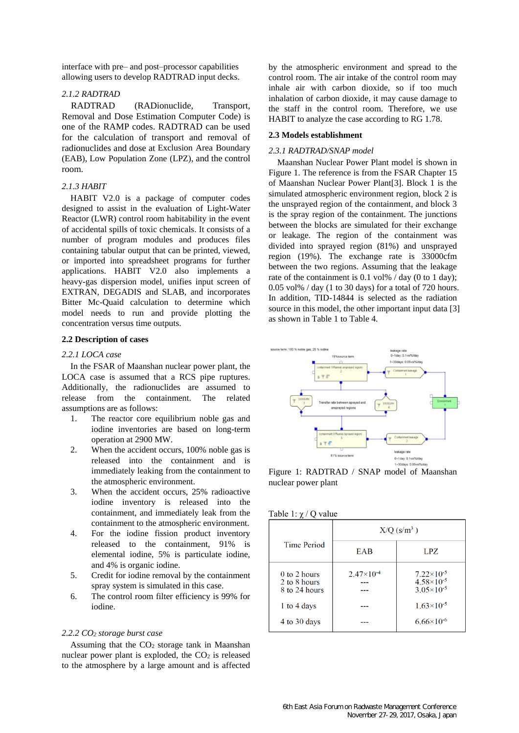interface with pre– and post–processor capabilities allowing users to develop RADTRAD input decks.

# *2.1.2 RADTRAD*

RADTRAD (RADionuclide, Transport, Removal and Dose Estimation Computer Code) is one of the RAMP codes. RADTRAD can be used for the calculation of transport and removal of radionuclides and dose at Exclusion Area Boundary (EAB), Low Population Zone (LPZ), and the control room.

## *2.1.3 HABIT*

HABIT V2.0 is a package of computer codes designed to assist in the evaluation of Light-Water Reactor (LWR) control room habitability in the event of accidental spills of toxic chemicals. It consists of a number of program modules and produces files containing tabular output that can be printed, viewed, or imported into spreadsheet programs for further applications. HABIT V2.0 also implements a heavy-gas dispersion model, unifies input screen of EXTRAN, DEGADIS and SLAB, and incorporates Bitter Mc-Quaid calculation to determine which model needs to run and provide plotting the concentration versus time outputs.

### **2.2 Description of cases**

### *2.2.1 LOCA case*

In the FSAR of Maanshan nuclear power plant, the LOCA case is assumed that a RCS pipe ruptures. Additionally, the radionuclides are assumed to release from the containment. The related assumptions are as follows:

- 1. The reactor core equilibrium noble gas and iodine inventories are based on long-term operation at 2900 MW.
- 2. When the accident occurs, 100% noble gas is released into the containment and is immediately leaking from the containment to the atmospheric environment.
- 3. When the accident occurs, 25% radioactive iodine inventory is released into the containment, and immediately leak from the containment to the atmospheric environment.
- 4. For the iodine fission product inventory released to the containment, 91% is elemental iodine, 5% is particulate iodine, and 4% is organic iodine.
- 5. Credit for iodine removal by the containment spray system is simulated in this case.
- 6. The control room filter efficiency is 99% for iodine.

# *2.2.2 CO<sup>2</sup> storage burst case*

Assuming that the  $CO<sub>2</sub>$  storage tank in Maanshan nuclear power plant is exploded, the  $CO<sub>2</sub>$  is released to the atmosphere by a large amount and is affected by the atmospheric environment and spread to the control room. The air intake of the control room may inhale air with carbon dioxide, so if too much inhalation of carbon dioxide, it may cause damage to the staff in the control room. Therefore, we use HABIT to analyze the case according to RG 1.78.

#### **2.3 Models establishment**

## *2.3.1 RADTRAD/SNAP model*

Maanshan Nuclear Power Plant model is shown in Figure 1. The reference is from the FSAR Chapter 15 of Maanshan Nuclear Power Plant[3]. Block 1 is the simulated atmospheric environment region, block 2 is the unsprayed region of the containment, and block 3 is the spray region of the containment. The junctions between the blocks are simulated for their exchange or leakage. The region of the containment was divided into sprayed region (81%) and unsprayed region (19%). The exchange rate is 33000cfm between the two regions. Assuming that the leakage rate of the containment is 0.1 vol% / day (0 to 1 day); 0.05 vol% / day (1 to 30 days) for a total of 720 hours. In addition, TID-14844 is selected as the radiation source in this model, the other important input data [3] as shown in Table 1 to Table 4.



Figure 1: RADTRAD / SNAP model of Maanshan nuclear power plant

Table 1:  $\chi$  / Q value

| <b>Time Period</b>                              | $X/Q$ (s/m <sup>3</sup> ) |                                                                       |  |
|-------------------------------------------------|---------------------------|-----------------------------------------------------------------------|--|
|                                                 | EAB                       | LPZ.                                                                  |  |
| $0$ to 2 hours<br>2 to 8 hours<br>8 to 24 hours | $2.47 \times 10^{-4}$     | $7.22\times10^{-5}$<br>$4.58 \times 10^{-5}$<br>$3.05 \times 10^{-5}$ |  |
| 1 to 4 days                                     |                           | $1.63\times10^{-5}$                                                   |  |
| 4 to 30 days                                    |                           | $6.66 \times 10^{-6}$                                                 |  |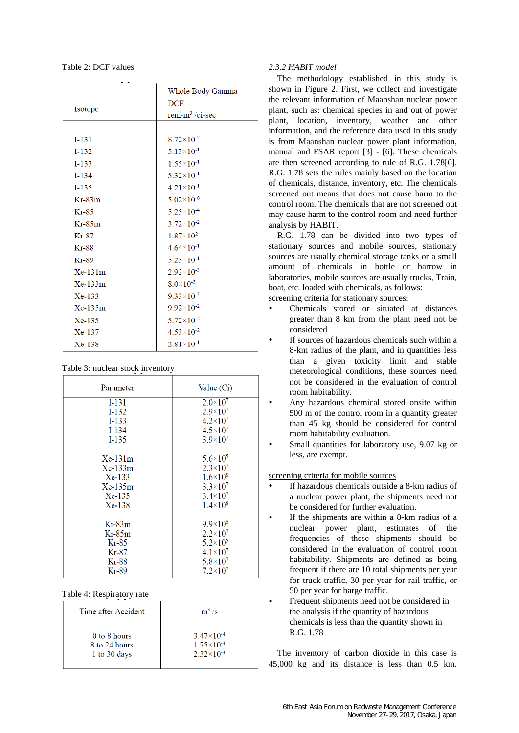Table 2: DCF values

| Whole Body Gamma      |
|-----------------------|
| <b>DCF</b>            |
| rem- $m^3$ /ci-sec    |
|                       |
| $8.72\times10^{-2}$   |
| $5.13\times10^{-1}$   |
| $1.55 \times 10^{-1}$ |
| $5.32\times10^{-1}$   |
| $4.21 \times 10^{-1}$ |
| $5.02\times10^{-6}$   |
| $5.25 \times 10^{-4}$ |
| $3.72 \times 10^{-2}$ |
| $1.87\times10^{2}$    |
| $4.64 \times 10^{-1}$ |
| $5.25 \times 10^{-1}$ |
| $2.92 \times 10^{-3}$ |
| $8.0 \times 10^{-3}$  |
| $9.33 \times 10^{-3}$ |
| $9.92\times10^{-2}$   |
| $5.72 \times 10^{-2}$ |
| $4.53 \times 10^{-2}$ |
| $2.81\times10^{-1}$   |
|                       |

### Table 3: nuclear stock inventory

| Parameter | Value (Ci)          |
|-----------|---------------------|
| $I-131$   | $2.0 \times 10^{7}$ |
| $I-132$   | $2.9\times10^{7}$   |
| $I-133$   | $4.2 \times 10^{7}$ |
| $I-134$   | $4.5 \times 10^{7}$ |
| $I-135$   | $3.9 \times 10^{7}$ |
|           |                     |
| $Xe-131m$ | $5.6 \times 10^{5}$ |
| $Xe-133m$ | $2.3 \times 10^{7}$ |
| $Xe-133$  | $1.6 \times 10^8$   |
| $Xe-135m$ | $3.3\times10^{7}$   |
| $Xe-135$  | $3.4 \times 10^{7}$ |
| $Xe-138$  | $1.4 \times 10^8$   |
|           | $9.9 \times 10^6$   |
| $Kr-83m$  |                     |
| Kr-85m    | $2.2 \times 10^7$   |
| Kr-85     | $5.2 \times 10^5$   |
| $Kr-87$   | $4.1 \times 10^{7}$ |
| $Kr-88$   | $5.8 \times 10^{7}$ |
| Kr-89     | $7.2\times10^{7}$   |

### Table 4: Respiratory rate

| Time after Accident | $m^3$ /s              |
|---------------------|-----------------------|
| $0$ to $8$ hours    | $3.47\times10^{-4}$   |
| 8 to 24 hours       | $1.75 \times 10^{-4}$ |
| 1 to 30 days        | $2.32\times10^{-4}$   |

## *2.3.2 HABIT model*

The methodology established in this study is shown in Figure 2. First, we collect and investigate the relevant information of Maanshan nuclear power plant, such as: chemical species in and out of power plant, location, inventory, weather and other information, and the reference data used in this study is from Maanshan nuclear power plant information, manual and FSAR report [3] - [6]. These chemicals are then screened according to rule of R.G. 1.78[6]. R.G. 1.78 sets the rules mainly based on the location of chemicals, distance, inventory, etc. The chemicals screened out means that does not cause harm to the control room. The chemicals that are not screened out may cause harm to the control room and need further analysis by HABIT.

R.G. 1.78 can be divided into two types of stationary sources and mobile sources, stationary sources are usually chemical storage tanks or a small amount of chemicals in bottle or barrow in laboratories, mobile sources are usually trucks, Train, boat, etc. loaded with chemicals, as follows:

screening criteria for stationary sources:

- Chemicals stored or situated at distances greater than 8 km from the plant need not be considered
- If sources of hazardous chemicals such within a 8-km radius of the plant, and in quantities less than a given toxicity limit and stable meteorological conditions, these sources need not be considered in the evaluation of control room habitability.
- Any hazardous chemical stored onsite within 500 m of the control room in a quantity greater than 45 kg should be considered for control room habitability evaluation.
- Small quantities for laboratory use, 9.07 kg or less, are exempt.

screening criteria for mobile sources

- If hazardous chemicals outside a 8-km radius of a nuclear power plant, the shipments need not be considered for further evaluation.
- If the shipments are within a 8-km radius of a nuclear power plant, estimates of the frequencies of these shipments should be considered in the evaluation of control room habitability. Shipments are defined as being frequent if there are 10 total shipments per year for truck traffic, 30 per year for rail traffic, or 50 per year for barge traffic.
- Frequent shipments need not be considered in the analysis if the quantity of hazardous chemicals is less than the quantity shown in R.G. 1.78

The inventory of carbon dioxide in this case is 45,000 kg and its distance is less than 0.5 km.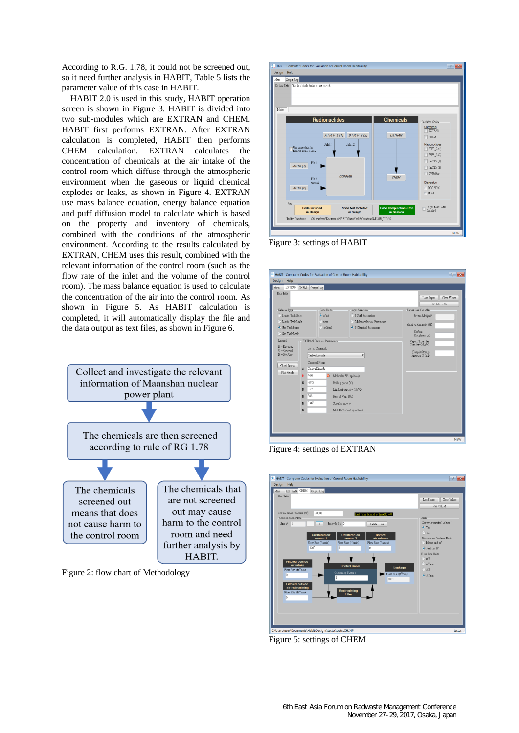According to R.G. 1.78, it could not be screened out, so it need further analysis in HABIT, Table 5 lists the parameter value of this case in HABIT.

HABIT 2.0 is used in this study, HABIT operation screen is shown in Figure 3. HABIT is divided into two sub-modules which are EXTRAN and CHEM. HABIT first performs EXTRAN. After EXTRAN calculation is completed, HABIT then performs CHEM calculation. EXTRAN calculates the concentration of chemicals at the air intake of the control room which diffuse through the atmospheric environment when the gaseous or liquid chemical explodes or leaks, as shown in Figure 4. EXTRAN use mass balance equation, energy balance equation and puff diffusion model to calculate which is based on the property and inventory of chemicals, combined with the conditions of the atmospheric environment. According to the results calculated by EXTRAN, CHEM uses this result, combined with the relevant information of the control room (such as the flow rate of the inlet and the volume of the control room). The mass balance equation is used to calculate the concentration of the air into the control room. As shown in Figure 5. As HABIT calculation is completed, it will automatically display the file and the data output as text files, as shown in Figure 6.



Figure 2: flow chart of Methodology



Figure 3: settings of HABIT

| Run Title                                                                                                                                                                                                                |                       |                                                                                                             |                                                                                                                                                                                                                |                                                                                                                         | Clear Values<br>Load laput<br>Run EXTRAN                                                     |
|--------------------------------------------------------------------------------------------------------------------------------------------------------------------------------------------------------------------------|-----------------------|-------------------------------------------------------------------------------------------------------------|----------------------------------------------------------------------------------------------------------------------------------------------------------------------------------------------------------------|-------------------------------------------------------------------------------------------------------------------------|----------------------------------------------------------------------------------------------|
| Release Type<br>Liquid Tank Burst<br>Liquid Tank Leak<br><b>O</b> Gas Tank Burst<br>Gas Tank Leak<br>Legend<br>$R =$ Required<br>$O = Obذonal$<br>$N = Not$ Used<br>Check Inputs<br>$\circ$<br>Plot Results<br>44.0<br>R |                       |                                                                                                             | Conc Units<br>Input Selection<br>$Q$ $\frac{1}{2}$ $\frac{1}{2}$<br>1 Soill Parameters<br>2 Meteorological Parameters<br>$\supset$ ppm<br>nG/n3<br>2 3 Chemical Parameters<br>۰<br>Molecular Wt. (g/mole)<br>o |                                                                                                                         | Dansa Gas Variables<br>Britter-McQuaid<br>Relative Humidity (%)<br>Surface                   |
|                                                                                                                                                                                                                          |                       | <b>EXTRAN Chemical Parameters</b><br>List of Chemicals<br>Carbon Dioxide<br>Chemical Name<br>Carbon Dioxide |                                                                                                                                                                                                                |                                                                                                                         | Roughness (m)<br>Vapor Phase Heat<br>Capacity (J/kg/K)<br>(Gauge) Storage<br>Pressure (N/m2) |
|                                                                                                                                                                                                                          | N<br>N<br>N<br>N<br>N | .78.5<br>0.77<br>348.<br>0.468                                                                              |                                                                                                                                                                                                                | Boiling point (C)<br>Liv. heat caracity (J/g/C)<br>Heat of Vap. (I/g)<br>Specific gravity<br>Mol. Diff. Coef. (cm2/sec) |                                                                                              |

Figure 4: settings of EXTRAN



Figure 5: settings of CHEM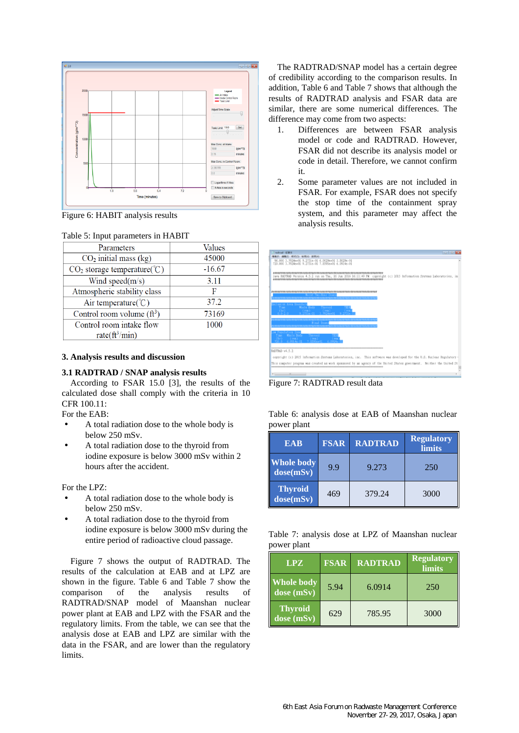

Figure 6: HABIT analysis results

### Table 5: Input parameters in HABIT

| Parameters                        | Values   |
|-----------------------------------|----------|
| $CO2$ initial mass (kg)           | 45000    |
| $CO2$ storage temperature( $°C$ ) | $-16.67$ |
| Wind speed $(m/s)$                | 3.11     |
| Atmospheric stability class       | F        |
| Air temperature( $\degree$ C)     | 37.2     |
| Control room volume $(f_t^3)$     | 73169    |
| Control room intake flow          | 1000     |
| rate( $ft^3/min$ )                |          |
|                                   |          |

# **3. Analysis results and discussion**

# **3.1 RADTRAD / SNAP analysis results**

According to FSAR 15.0 [3], the results of the calculated dose shall comply with the criteria in 10 CFR 100.11:

For the EAB:

- A total radiation dose to the whole body is below 250 mSv.
- A total radiation dose to the thyroid from iodine exposure is below 3000 mSv within 2 hours after the accident.

For the LPZ:

- A total radiation dose to the whole body is below 250 mSv.
- A total radiation dose to the thyroid from iodine exposure is below 3000 mSv during the entire period of radioactive cloud passage.

Figure 7 shows the output of RADTRAD. The results of the calculation at EAB and at LPZ are shown in the figure. Table 6 and Table 7 show the comparison of the analysis results of RADTRAD/SNAP model of Maanshan nuclear power plant at EAB and LPZ with the FSAR and the regulatory limits. From the table, we can see that the analysis dose at EAB and LPZ are similar with the data in the FSAR, and are lower than the regulatory **limits** 

The RADTRAD/SNAP model has a certain degree of credibility according to the comparison results. In addition, Table 6 and Table 7 shows that although the results of RADTRAD analysis and FSAR data are similar, there are some numerical differences. The difference may come from two aspects:

- 1. Differences are between FSAR analysis model or code and RADTRAD. However, FSAR did not describe its analysis model or code in detail. Therefore, we cannot confirm it.
- 2. Some parameter values are not included in FSAR. For example, FSAR does not specify the stop time of the containment spray system, and this parameter may affect the analysis results.





Table 6: analysis dose at EAB of Maanshan nuclear power plant

| <b>EAB</b>                     | <b>FSAR</b> | <b>RADTRAD</b> | <b>Regulatory</b><br><b>limits</b> |
|--------------------------------|-------------|----------------|------------------------------------|
| <b>Whole body</b><br>dose(mSv) | 9.9         | 9.273          | 250                                |
| <b>Thyroid</b><br>dose(mSv)    | 469         | 379.24         | 3000                               |

Table 7: analysis dose at LPZ of Maanshan nuclear power plant

| <b>LPZ</b>                                       | <b>FSAR</b> | <b>RADTRAD</b> | <b>Regulatory</b><br><b>limits</b> |
|--------------------------------------------------|-------------|----------------|------------------------------------|
| <b>Whole body</b><br>dose (mSv)                  | 5.94        | 6.0914         | 250                                |
| <b>Thyroid</b><br>$\overline{\text{dose}}$ (mSv) | 629         | 785.95         | 3000                               |